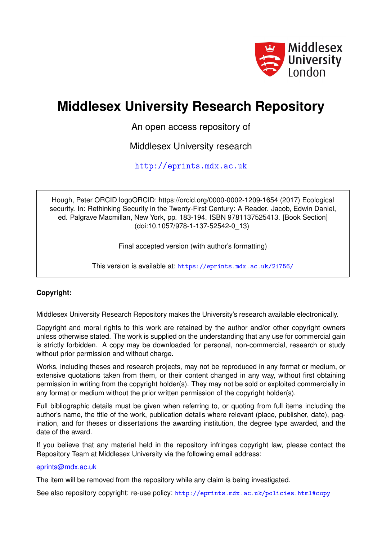

# **Middlesex University Research Repository**

An open access repository of

Middlesex University research

<http://eprints.mdx.ac.uk>

Hough, Peter ORCID logoORCID: https://orcid.org/0000-0002-1209-1654 (2017) Ecological security. In: Rethinking Security in the Twenty-First Century: A Reader. Jacob, Edwin Daniel, ed. Palgrave Macmillan, New York, pp. 183-194. ISBN 9781137525413. [Book Section] (doi:10.1057/978-1-137-52542-0\_13)

Final accepted version (with author's formatting)

This version is available at: <https://eprints.mdx.ac.uk/21756/>

# **Copyright:**

Middlesex University Research Repository makes the University's research available electronically.

Copyright and moral rights to this work are retained by the author and/or other copyright owners unless otherwise stated. The work is supplied on the understanding that any use for commercial gain is strictly forbidden. A copy may be downloaded for personal, non-commercial, research or study without prior permission and without charge.

Works, including theses and research projects, may not be reproduced in any format or medium, or extensive quotations taken from them, or their content changed in any way, without first obtaining permission in writing from the copyright holder(s). They may not be sold or exploited commercially in any format or medium without the prior written permission of the copyright holder(s).

Full bibliographic details must be given when referring to, or quoting from full items including the author's name, the title of the work, publication details where relevant (place, publisher, date), pagination, and for theses or dissertations the awarding institution, the degree type awarded, and the date of the award.

If you believe that any material held in the repository infringes copyright law, please contact the Repository Team at Middlesex University via the following email address:

# [eprints@mdx.ac.uk](mailto:eprints@mdx.ac.uk)

The item will be removed from the repository while any claim is being investigated.

See also repository copyright: re-use policy: <http://eprints.mdx.ac.uk/policies.html#copy>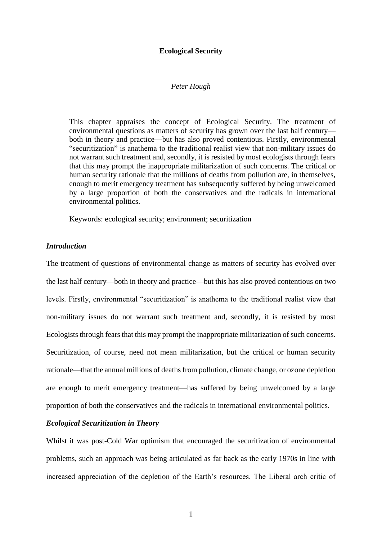# **Ecological Security**

#### *Peter Hough*

This chapter appraises the concept of Ecological Security. The treatment of environmental questions as matters of security has grown over the last half century both in theory and practice—but has also proved contentious. Firstly, environmental "securitization" is anathema to the traditional realist view that non-military issues do not warrant such treatment and, secondly, it is resisted by most ecologists through fears that this may prompt the inappropriate militarization of such concerns. The critical or human security rationale that the millions of deaths from pollution are, in themselves, enough to merit emergency treatment has subsequently suffered by being unwelcomed by a large proportion of both the conservatives and the radicals in international environmental politics.

Keywords: ecological security; environment; securitization

# *Introduction*

The treatment of questions of environmental change as matters of security has evolved over the last half century—both in theory and practice—but this has also proved contentious on two levels. Firstly, environmental "securitization" is anathema to the traditional realist view that non-military issues do not warrant such treatment and, secondly, it is resisted by most Ecologists through fears that this may prompt the inappropriate militarization of such concerns. Securitization, of course, need not mean militarization, but the critical or human security rationale—that the annual millions of deaths from pollution, climate change, or ozone depletion are enough to merit emergency treatment—has suffered by being unwelcomed by a large proportion of both the conservatives and the radicals in international environmental politics.

# *Ecological Securitization in Theory*

Whilst it was post-Cold War optimism that encouraged the securitization of environmental problems, such an approach was being articulated as far back as the early 1970s in line with increased appreciation of the depletion of the Earth's resources. The Liberal arch critic of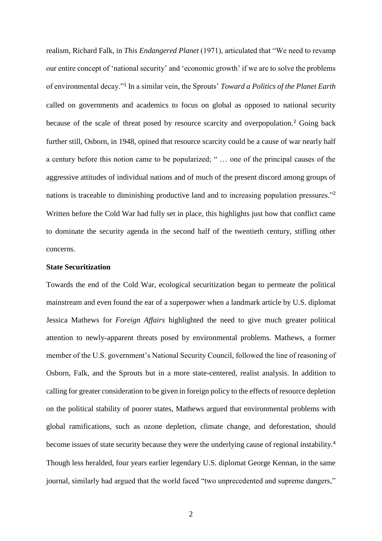realism, Richard Falk, in *This Endangered Planet* (1971), articulated that "We need to revamp our entire concept of 'national security' and 'economic growth' if we are to solve the problems of environmental decay."<sup>1</sup> In a similar vein, the Sprouts' *Toward a Politics of the Planet Earth*  called on governments and academics to focus on global as opposed to national security because of the scale of threat posed by resource scarcity and overpopulation.<sup>2</sup> Going back further still, Osborn, in 1948, opined that resource scarcity could be a cause of war nearly half a century before this notion came to be popularized; " … one of the principal causes of the aggressive attitudes of individual nations and of much of the present discord among groups of nations is traceable to diminishing productive land and to increasing population pressures."<sup>2</sup> Written before the Cold War had fully set in place, this highlights just how that conflict came to dominate the security agenda in the second half of the twentieth century, stifling other concerns.

### **State Securitization**

Towards the end of the Cold War, ecological securitization began to permeate the political mainstream and even found the ear of a superpower when a landmark article by U.S. diplomat Jessica Mathews for *Foreign Affairs* highlighted the need to give much greater political attention to newly-apparent threats posed by environmental problems. Mathews, a former member of the U.S. government's National Security Council, followed the line of reasoning of Osborn, Falk, and the Sprouts but in a more state-centered, realist analysis. In addition to calling for greater consideration to be given in foreign policy to the effects of resource depletion on the political stability of poorer states, Mathews argued that environmental problems with global ramifications, such as ozone depletion, climate change, and deforestation, should become issues of state security because they were the underlying cause of regional instability.<sup>4</sup> Though less heralded, four years earlier legendary U.S. diplomat George Kennan, in the same journal, similarly had argued that the world faced "two unprecedented and supreme dangers,"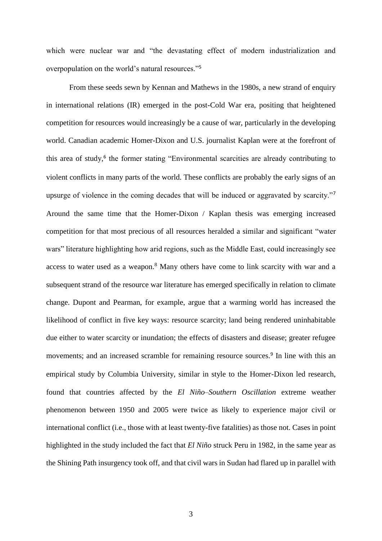which were nuclear war and "the devastating effect of modern industrialization and overpopulation on the world's natural resources."<sup>5</sup>

From these seeds sewn by Kennan and Mathews in the 1980s, a new strand of enquiry in international relations (IR) emerged in the post-Cold War era, positing that heightened competition for resources would increasingly be a cause of war, particularly in the developing world. Canadian academic Homer-Dixon and U.S. journalist Kaplan were at the forefront of this area of study,<sup>6</sup> the former stating "Environmental scarcities are already contributing to violent conflicts in many parts of the world. These conflicts are probably the early signs of an upsurge of violence in the coming decades that will be induced or aggravated by scarcity."<sup>7</sup> Around the same time that the Homer-Dixon / Kaplan thesis was emerging increased competition for that most precious of all resources heralded a similar and significant "water wars" literature highlighting how arid regions, such as the Middle East, could increasingly see access to water used as a weapon.<sup>8</sup> Many others have come to link scarcity with war and a subsequent strand of the resource war literature has emerged specifically in relation to climate change. Dupont and Pearman, for example, argue that a warming world has increased the likelihood of conflict in five key ways: resource scarcity; land being rendered uninhabitable due either to water scarcity or inundation; the effects of disasters and disease; greater refugee movements; and an increased scramble for remaining resource sources.<sup>9</sup> In line with this an empirical study by Columbia University, similar in style to the Homer-Dixon led research, found that countries affected by the *El Niño–Southern Oscillation* extreme weather phenomenon between 1950 and 2005 were twice as likely to experience major civil or international conflict (i.e., those with at least twenty-five fatalities) as those not. Cases in point highlighted in the study included the fact that *El Niño* struck Peru in 1982, in the same year as the Shining Path insurgency took off, and that civil wars in Sudan had flared up in parallel with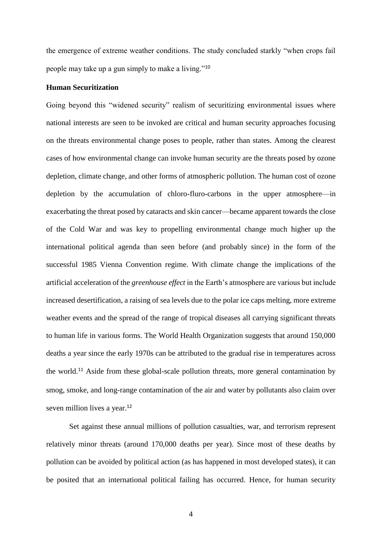the emergence of extreme weather conditions. The study concluded starkly "when crops fail people may take up a gun simply to make a living."<sup>10</sup>

#### **Human Securitization**

Going beyond this "widened security" realism of securitizing environmental issues where national interests are seen to be invoked are critical and human security approaches focusing on the threats environmental change poses to people, rather than states. Among the clearest cases of how environmental change can invoke human security are the threats posed by ozone depletion, climate change, and other forms of atmospheric pollution. The human cost of ozone depletion by the accumulation of chloro-fluro-carbons in the upper atmosphere—in exacerbating the threat posed by cataracts and skin cancer—became apparent towards the close of the Cold War and was key to propelling environmental change much higher up the international political agenda than seen before (and probably since) in the form of the successful 1985 Vienna Convention regime. With climate change the implications of the artificial acceleration of the *greenhouse effect* in the Earth's atmosphere are various but include increased desertification, a raising of sea levels due to the polar ice caps melting, more extreme weather events and the spread of the range of tropical diseases all carrying significant threats to human life in various forms. The World Health Organization suggests that around 150,000 deaths a year since the early 1970s can be attributed to the gradual rise in temperatures across the world.<sup>11</sup> Aside from these global-scale pollution threats, more general contamination by smog, smoke, and long-range contamination of the air and water by pollutants also claim over seven million lives a year.<sup>12</sup>

Set against these annual millions of pollution casualties, war, and terrorism represent relatively minor threats (around 170,000 deaths per year). Since most of these deaths by pollution can be avoided by political action (as has happened in most developed states), it can be posited that an international political failing has occurred. Hence, for human security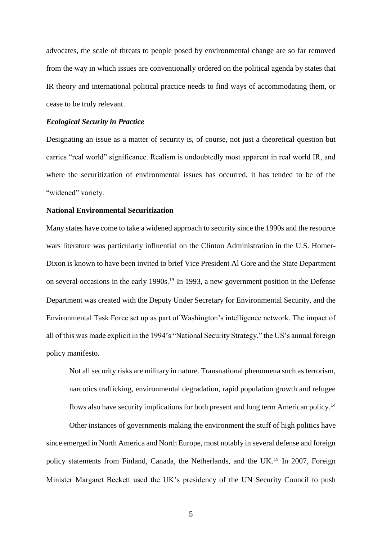advocates, the scale of threats to people posed by environmental change are so far removed from the way in which issues are conventionally ordered on the political agenda by states that IR theory and international political practice needs to find ways of accommodating them, or cease to be truly relevant.

# *Ecological Security in Practice*

Designating an issue as a matter of security is, of course, not just a theoretical question but carries "real world" significance. Realism is undoubtedly most apparent in real world IR, and where the securitization of environmental issues has occurred, it has tended to be of the "widened" variety.

## **National Environmental Securitization**

Many states have come to take a widened approach to security since the 1990s and the resource wars literature was particularly influential on the Clinton Administration in the U.S. Homer-Dixon is known to have been invited to brief Vice President Al Gore and the State Department on several occasions in the early 1990s.<sup>13</sup> In 1993, a new government position in the Defense Department was created with the Deputy Under Secretary for Environmental Security, and the Environmental Task Force set up as part of Washington's intelligence network. The impact of all of this was made explicit in the 1994's "National Security Strategy," the US's annual foreign policy manifesto.

Not all security risks are military in nature. Transnational phenomena such as terrorism, narcotics trafficking, environmental degradation, rapid population growth and refugee flows also have security implications for both present and long term American policy.<sup>14</sup>

Other instances of governments making the environment the stuff of high politics have since emerged in North America and North Europe, most notably in several defense and foreign policy statements from Finland, Canada, the Netherlands, and the UK.<sup>15</sup> In 2007, Foreign Minister Margaret Beckett used the UK's presidency of the UN Security Council to push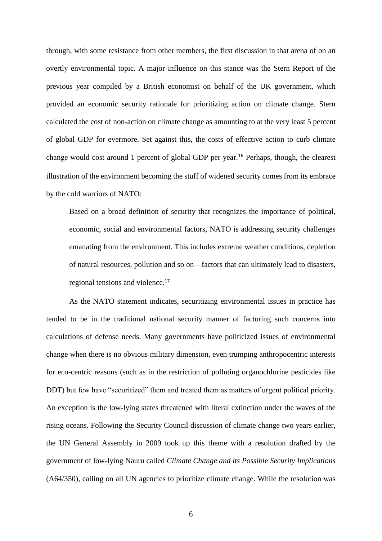through, with some resistance from other members, the first discussion in that arena of on an overtly environmental topic. A major influence on this stance was the Stern Report of the previous year compiled by a British economist on behalf of the UK government, which provided an economic security rationale for prioritizing action on climate change. Stern calculated the cost of non-action on climate change as amounting to at the very least 5 percent of global GDP for evermore. Set against this, the costs of effective action to curb climate change would cost around 1 percent of global GDP per year.<sup>16</sup> Perhaps, though, the clearest illustration of the environment becoming the stuff of widened security comes from its embrace by the cold warriors of NATO:

Based on a broad definition of security that recognizes the importance of political, economic, social and environmental factors, NATO is addressing security challenges emanating from the environment. This includes extreme weather conditions, depletion of natural resources, pollution and so on—factors that can ultimately lead to disasters, regional tensions and violence.<sup>17</sup>

As the NATO statement indicates, securitizing environmental issues in practice has tended to be in the traditional national security manner of factoring such concerns into calculations of defense needs. Many governments have politicized issues of environmental change when there is no obvious military dimension, even trumping anthropocentric interests for eco-centric reasons (such as in the restriction of polluting organochlorine pesticides like DDT) but few have "securitized" them and treated them as matters of urgent political priority. An exception is the low-lying states threatened with literal extinction under the waves of the rising oceans. Following the Security Council discussion of climate change two years earlier, the UN General Assembly in 2009 took up this theme with a resolution drafted by the government of low-lying Nauru called *Climate Change and its Possible Security Implications* (A64/350), calling on all UN agencies to prioritize climate change. While the resolution was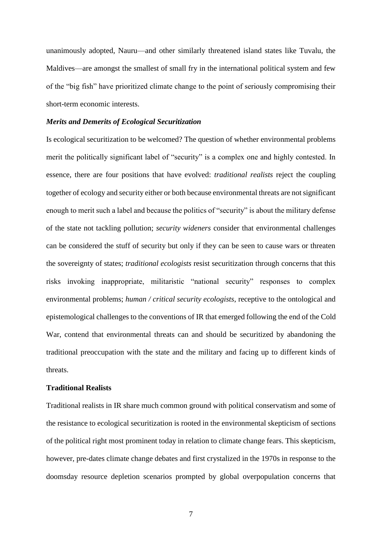unanimously adopted, Nauru—and other similarly threatened island states like Tuvalu, the Maldives—are amongst the smallest of small fry in the international political system and few of the "big fish" have prioritized climate change to the point of seriously compromising their short-term economic interests.

# *Merits and Demerits of Ecological Securitization*

Is ecological securitization to be welcomed? The question of whether environmental problems merit the politically significant label of "security" is a complex one and highly contested. In essence, there are four positions that have evolved: *traditional realists* reject the coupling together of ecology and security either or both because environmental threats are not significant enough to merit such a label and because the politics of "security" is about the military defense of the state not tackling pollution; *security wideners* consider that environmental challenges can be considered the stuff of security but only if they can be seen to cause wars or threaten the sovereignty of states; *traditional ecologists* resist securitization through concerns that this risks invoking inappropriate, militaristic "national security" responses to complex environmental problems; *human / critical security ecologists*, receptive to the ontological and epistemological challenges to the conventions of IR that emerged following the end of the Cold War, contend that environmental threats can and should be securitized by abandoning the traditional preoccupation with the state and the military and facing up to different kinds of threats.

## **Traditional Realists**

Traditional realists in IR share much common ground with political conservatism and some of the resistance to ecological securitization is rooted in the environmental skepticism of sections of the political right most prominent today in relation to climate change fears. This skepticism, however, pre-dates climate change debates and first crystalized in the 1970s in response to the doomsday resource depletion scenarios prompted by global overpopulation concerns that

7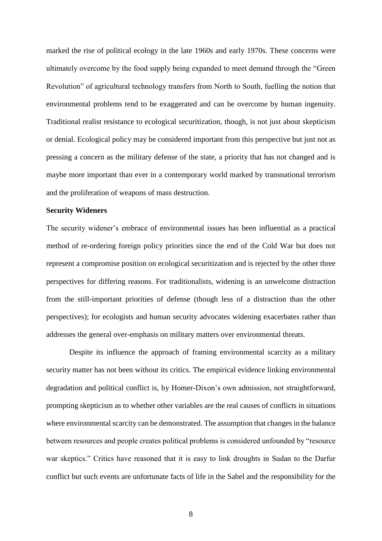marked the rise of political ecology in the late 1960s and early 1970s. These concerns were ultimately overcome by the food supply being expanded to meet demand through the "Green Revolution" of agricultural technology transfers from North to South, fuelling the notion that environmental problems tend to be exaggerated and can be overcome by human ingenuity. Traditional realist resistance to ecological securitization, though, is not just about skepticism or denial. Ecological policy may be considered important from this perspective but just not as pressing a concern as the military defense of the state, a priority that has not changed and is maybe more important than ever in a contemporary world marked by transnational terrorism and the proliferation of weapons of mass destruction.

#### **Security Wideners**

The security widener's embrace of environmental issues has been influential as a practical method of re-ordering foreign policy priorities since the end of the Cold War but does not represent a compromise position on ecological securitization and is rejected by the other three perspectives for differing reasons. For traditionalists, widening is an unwelcome distraction from the still-important priorities of defense (though less of a distraction than the other perspectives); for ecologists and human security advocates widening exacerbates rather than addresses the general over-emphasis on military matters over environmental threats.

Despite its influence the approach of framing environmental scarcity as a military security matter has not been without its critics. The empirical evidence linking environmental degradation and political conflict is, by Homer-Dixon's own admission, not straightforward, prompting skepticism as to whether other variables are the real causes of conflicts in situations where environmental scarcity can be demonstrated. The assumption that changes in the balance between resources and people creates political problems is considered unfounded by "resource war skeptics." Critics have reasoned that it is easy to link droughts in Sudan to the Darfur conflict but such events are unfortunate facts of life in the Sahel and the responsibility for the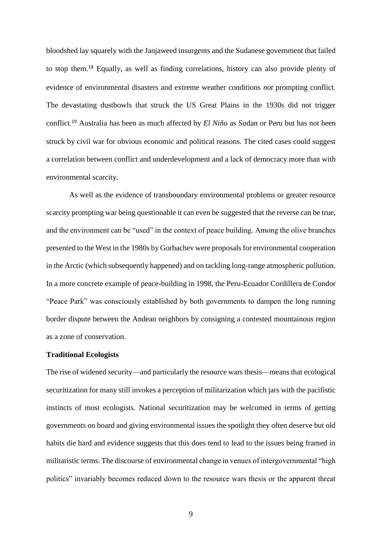bloodshed lay squarely with the Janjaweed insurgents and the Sudanese government that failed to stop them.<sup>18</sup> Equally, as well as finding correlations, history can also provide plenty of evidence of environmental disasters and extreme weather conditions *not* prompting conflict. The devastating dustbowls that struck the US Great Plains in the 1930s did not trigger conflict.<sup>19</sup> Australia has been as much affected by *El Niño* as Sudan or Peru but has not been struck by civil war for obvious economic and political reasons. The cited cases could suggest a correlation between conflict and underdevelopment and a lack of democracy more than with environmental scarcity.

As well as the evidence of transboundary environmental problems or greater resource scarcity prompting war being questionable it can even be suggested that the reverse can be true, and the environment can be "used" in the context of peace building. Among the olive branches presented to the West in the 1980s by Gorbachev were proposals for environmental cooperation in the Arctic (which subsequently happened) and on tackling long-range atmospheric pollution. In a more concrete example of peace-building in 1998, the Peru-Ecuador Cordillera de Condor "Peace Park" was consciously established by both governments to dampen the long running border dispute between the Andean neighbors by consigning a contested mountainous region as a zone of conservation.

## **Traditional Ecologists**

The rise of widened security—and particularly the resource wars thesis—means that ecological securitization for many still invokes a perception of militarization which jars with the pacifistic instincts of most ecologists. National securitization may be welcomed in terms of getting governments on board and giving environmental issues the spotlight they often deserve but old habits die hard and evidence suggests that this does tend to lead to the issues being framed in militaristic terms. The discourse of environmental change in venues of intergovernmental "high politics" invariably becomes reduced down to the resource wars thesis or the apparent threat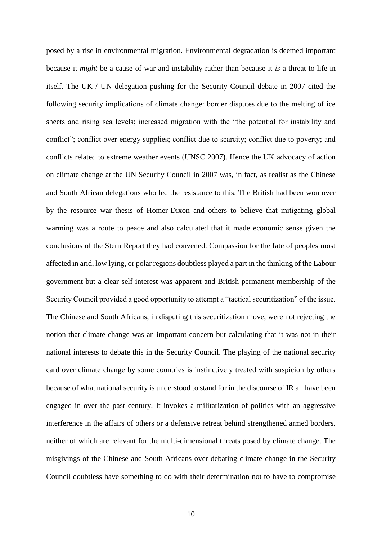posed by a rise in environmental migration. Environmental degradation is deemed important because it *might* be a cause of war and instability rather than because it *is* a threat to life in itself. The UK / UN delegation pushing for the Security Council debate in 2007 cited the following security implications of climate change: border disputes due to the melting of ice sheets and rising sea levels; increased migration with the "the potential for instability and conflict"; conflict over energy supplies; conflict due to scarcity; conflict due to poverty; and conflicts related to extreme weather events (UNSC 2007). Hence the UK advocacy of action on climate change at the UN Security Council in 2007 was, in fact, as realist as the Chinese and South African delegations who led the resistance to this. The British had been won over by the resource war thesis of Homer-Dixon and others to believe that mitigating global warming was a route to peace and also calculated that it made economic sense given the conclusions of the Stern Report they had convened. Compassion for the fate of peoples most affected in arid, low lying, or polar regions doubtless played a part in the thinking of the Labour government but a clear self-interest was apparent and British permanent membership of the Security Council provided a good opportunity to attempt a "tactical securitization" of the issue. The Chinese and South Africans, in disputing this securitization move, were not rejecting the notion that climate change was an important concern but calculating that it was not in their national interests to debate this in the Security Council. The playing of the national security card over climate change by some countries is instinctively treated with suspicion by others because of what national security is understood to stand for in the discourse of IR all have been engaged in over the past century. It invokes a militarization of politics with an aggressive interference in the affairs of others or a defensive retreat behind strengthened armed borders, neither of which are relevant for the multi-dimensional threats posed by climate change. The misgivings of the Chinese and South Africans over debating climate change in the Security Council doubtless have something to do with their determination not to have to compromise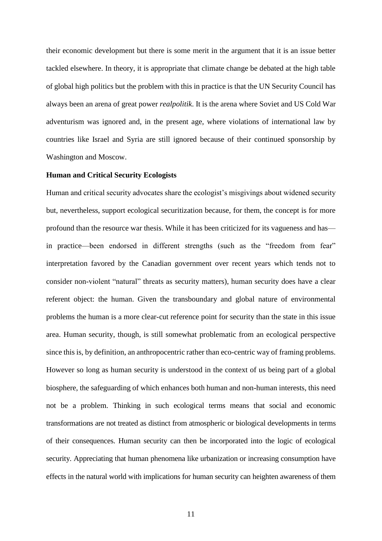their economic development but there is some merit in the argument that it is an issue better tackled elsewhere. In theory, it is appropriate that climate change be debated at the high table of global high politics but the problem with this in practice is that the UN Security Council has always been an arena of great power *realpolitik*. It is the arena where Soviet and US Cold War adventurism was ignored and, in the present age, where violations of international law by countries like Israel and Syria are still ignored because of their continued sponsorship by Washington and Moscow.

#### **Human and Critical Security Ecologists**

Human and critical security advocates share the ecologist's misgivings about widened security but, nevertheless, support ecological securitization because, for them, the concept is for more profound than the resource war thesis. While it has been criticized for its vagueness and has in practice—been endorsed in different strengths (such as the "freedom from fear" interpretation favored by the Canadian government over recent years which tends not to consider non-violent "natural" threats as security matters), human security does have a clear referent object: the human. Given the transboundary and global nature of environmental problems the human is a more clear-cut reference point for security than the state in this issue area. Human security, though, is still somewhat problematic from an ecological perspective since this is, by definition, an anthropocentric rather than eco-centric way of framing problems. However so long as human security is understood in the context of us being part of a global biosphere, the safeguarding of which enhances both human and non-human interests, this need not be a problem. Thinking in such ecological terms means that social and economic transformations are not treated as distinct from atmospheric or biological developments in terms of their consequences. Human security can then be incorporated into the logic of ecological security. Appreciating that human phenomena like urbanization or increasing consumption have effects in the natural world with implications for human security can heighten awareness of them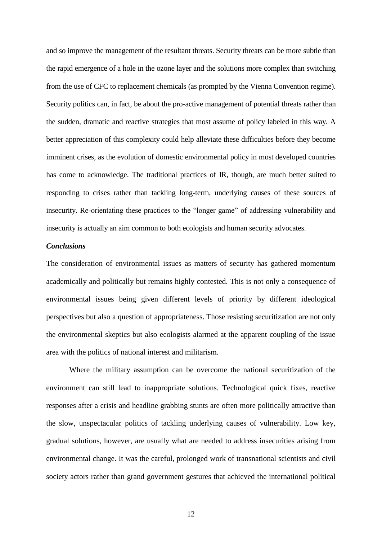and so improve the management of the resultant threats. Security threats can be more subtle than the rapid emergence of a hole in the ozone layer and the solutions more complex than switching from the use of CFC to replacement chemicals (as prompted by the Vienna Convention regime). Security politics can, in fact, be about the pro-active management of potential threats rather than the sudden, dramatic and reactive strategies that most assume of policy labeled in this way. A better appreciation of this complexity could help alleviate these difficulties before they become imminent crises, as the evolution of domestic environmental policy in most developed countries has come to acknowledge. The traditional practices of IR, though, are much better suited to responding to crises rather than tackling long-term, underlying causes of these sources of insecurity. Re-orientating these practices to the "longer game" of addressing vulnerability and insecurity is actually an aim common to both ecologists and human security advocates.

# *Conclusions*

The consideration of environmental issues as matters of security has gathered momentum academically and politically but remains highly contested. This is not only a consequence of environmental issues being given different levels of priority by different ideological perspectives but also a question of appropriateness. Those resisting securitization are not only the environmental skeptics but also ecologists alarmed at the apparent coupling of the issue area with the politics of national interest and militarism.

Where the military assumption can be overcome the national securitization of the environment can still lead to inappropriate solutions. Technological quick fixes, reactive responses after a crisis and headline grabbing stunts are often more politically attractive than the slow, unspectacular politics of tackling underlying causes of vulnerability. Low key, gradual solutions, however, are usually what are needed to address insecurities arising from environmental change. It was the careful, prolonged work of transnational scientists and civil society actors rather than grand government gestures that achieved the international political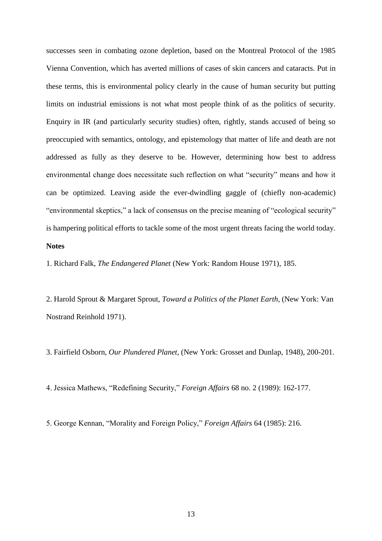successes seen in combating ozone depletion, based on the Montreal Protocol of the 1985 Vienna Convention, which has averted millions of cases of skin cancers and cataracts. Put in these terms, this is environmental policy clearly in the cause of human security but putting limits on industrial emissions is not what most people think of as the politics of security. Enquiry in IR (and particularly security studies) often, rightly, stands accused of being so preoccupied with semantics, ontology, and epistemology that matter of life and death are not addressed as fully as they deserve to be. However, determining how best to address environmental change does necessitate such reflection on what "security" means and how it can be optimized. Leaving aside the ever-dwindling gaggle of (chiefly non-academic) "environmental skeptics," a lack of consensus on the precise meaning of "ecological security" is hampering political efforts to tackle some of the most urgent threats facing the world today.

# **Notes**

1. Richard Falk, *The Endangered Planet* (New York: Random House 1971), 185.

2. Harold Sprout & Margaret Sprout, *Toward a Politics of the Planet Earth,* (New York: Van Nostrand Reinhold 1971).

3. Fairfield Osborn, *Our Plundered Planet*, (New York: Grosset and Dunlap, 1948), 200-201.

4. Jessica Mathews, "Redefining Security," *Foreign Affairs* 68 no. 2 (1989): 162-177.

5. George Kennan, "Morality and Foreign Policy," *Foreign Affairs* 64 (1985): 216.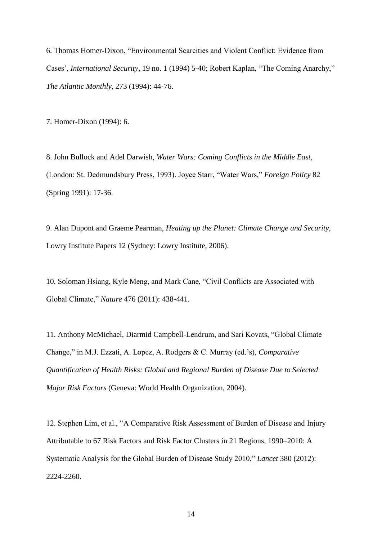6. Thomas Homer-Dixon, "Environmental Scarcities and Violent Conflict: Evidence from Cases', *International Security*, 19 no. 1 (1994) 5-40; Robert Kaplan, "The Coming Anarchy," *The Atlantic Monthly*, 273 (1994): 44-76.

7. Homer-Dixon (1994): 6.

8. John Bullock and Adel Darwish, *Water Wars: Coming Conflicts in the Middle East*, (London: St. Dedmundsbury Press, 1993). Joyce Starr, "Water Wars," *Foreign Policy* 82 (Spring 1991): 17-36.

9. Alan Dupont and Graeme Pearman, *Heating up the Planet: Climate Change and Security*, Lowry Institute Papers 12 (Sydney: Lowry Institute, 2006).

10. Soloman Hsiang, Kyle Meng, and Mark Cane, "Civil Conflicts are Associated with Global Climate," *Nature* 476 (2011): 438-441.

11. Anthony McMichael, Diarmid Campbell-Lendrum, and Sari Kovats, "Global Climate Change," in M.J. Ezzati, A. Lopez, A. Rodgers & C. Murray (ed.'s), *Comparative Quantification of Health Risks: Global and Regional Burden of Disease Due to Selected Major Risk Factors* (Geneva: World Health Organization, 2004).

12. Stephen Lim, et al., "A Comparative Risk Assessment of Burden of Disease and Injury Attributable to 67 Risk Factors and Risk Factor Clusters in 21 Regions, 1990–2010: A Systematic Analysis for the Global Burden of Disease Study 2010," *Lancet* 380 (2012): 2224-2260.